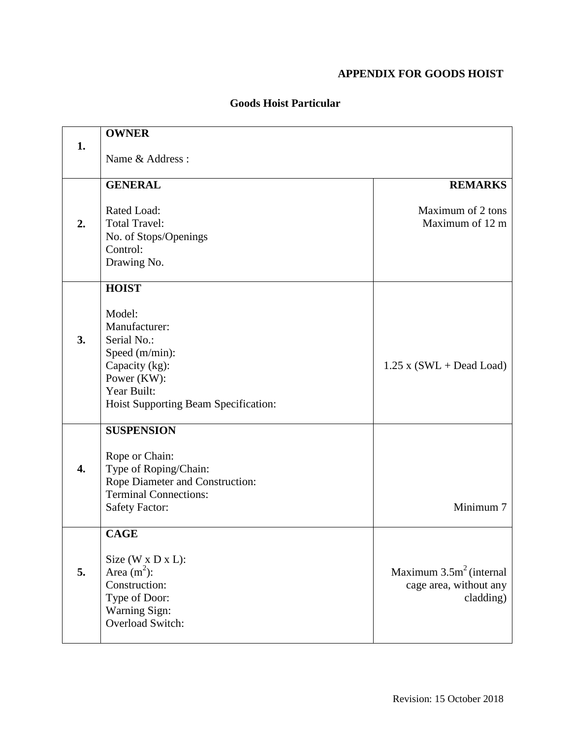## **APPENDIX FOR GOODS HOIST**

|                  | <b>OWNER</b>                         |                            |
|------------------|--------------------------------------|----------------------------|
| 1.               | Name & Address:                      |                            |
|                  |                                      |                            |
|                  | <b>GENERAL</b>                       | <b>REMARKS</b>             |
|                  | Rated Load:                          | Maximum of 2 tons          |
| 2.               | <b>Total Travel:</b>                 | Maximum of 12 m            |
|                  | No. of Stops/Openings                |                            |
|                  | Control:                             |                            |
|                  | Drawing No.                          |                            |
|                  | <b>HOIST</b>                         |                            |
|                  |                                      |                            |
|                  | Model:                               |                            |
|                  | Manufacturer:                        |                            |
| 3.               | Serial No.:                          |                            |
|                  | Speed (m/min):                       |                            |
|                  | Capacity (kg):                       | $1.25$ x (SWL + Dead Load) |
|                  | Power (KW):<br>Year Built:           |                            |
|                  | Hoist Supporting Beam Specification: |                            |
|                  |                                      |                            |
|                  | <b>SUSPENSION</b>                    |                            |
|                  | Rope or Chain:                       |                            |
| $\overline{4}$ . | Type of Roping/Chain:                |                            |
|                  | Rope Diameter and Construction:      |                            |
|                  | <b>Terminal Connections:</b>         |                            |
|                  | <b>Safety Factor:</b>                | Minimum 7                  |
|                  | <b>CAGE</b>                          |                            |
|                  |                                      |                            |
|                  | Size (W x D x L):                    |                            |
| 5.               | Area $(m^2)$ :                       | Maximum $3.5m2$ (internal  |
|                  | Construction:                        | cage area, without any     |
|                  | Type of Door:                        | cladding)                  |
|                  | Warning Sign:<br>Overload Switch:    |                            |
|                  |                                      |                            |

## **Goods Hoist Particular**